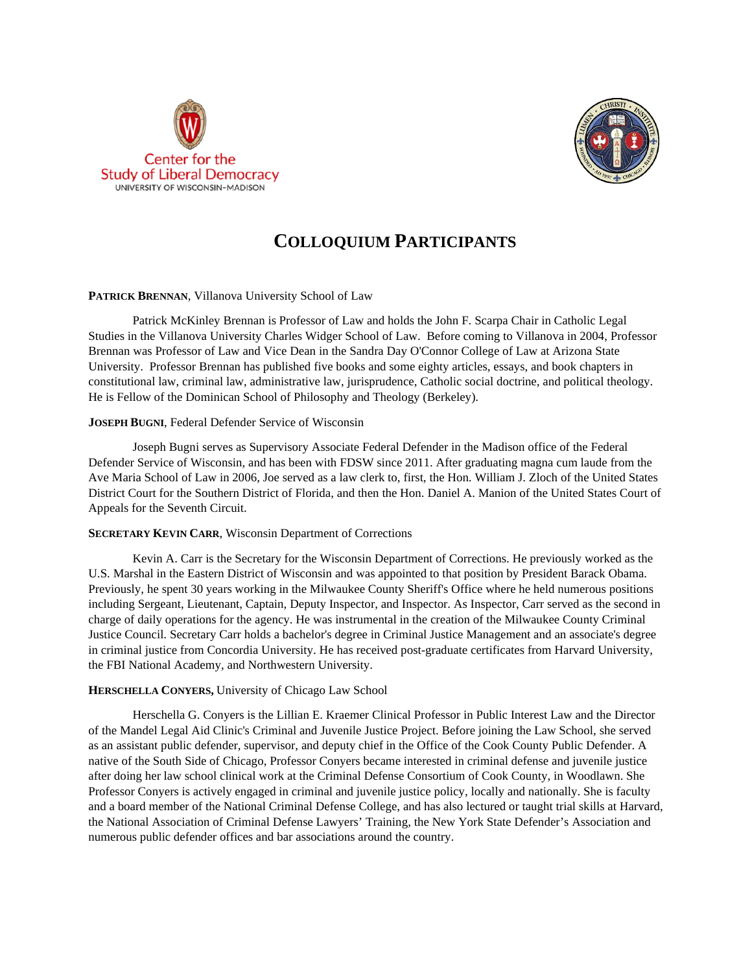



# **COLLOQUIUM PARTICIPANTS**

# PATRICK BRENNAN, Villanova University School of Law

Patrick McKinley Brennan is Professor of Law and holds the John F. Scarpa Chair in Catholic Legal Studies in the Villanova University Charles Widger School of Law. Before coming to Villanova in 2004, Professor Brennan was Professor of Law and Vice Dean in the Sandra Day O'Connor College of Law at Arizona State University. Professor Brennan has published five books and some eighty articles, essays, and book chapters in constitutional law, criminal law, administrative law, jurisprudence, Catholic social doctrine, and political theology. He is Fellow of the Dominican School of Philosophy and Theology (Berkeley).

# **JOSEPH BUGNI**, Federal Defender Service of Wisconsin

Joseph Bugni serves as Supervisory Associate Federal Defender in the Madison office of the Federal Defender Service of Wisconsin, and has been with FDSW since 2011. After graduating magna cum laude from the Ave Maria School of Law in 2006, Joe served as a law clerk to, first, the Hon. William J. Zloch of the United States District Court for the Southern District of Florida, and then the Hon. Daniel A. Manion of the United States Court of Appeals for the Seventh Circuit.

## **SECRETARY KEVIN CARR**, Wisconsin Department of Corrections

Kevin A. Carr is the Secretary for the Wisconsin Department of Corrections. He previously worked as the U.S. Marshal in the Eastern District of Wisconsin and was appointed to that position by President Barack Obama. Previously, he spent 30 years working in the Milwaukee County Sheriff's Office where he held numerous positions including Sergeant, Lieutenant, Captain, Deputy Inspector, and Inspector. As Inspector, Carr served as the second in charge of daily operations for the agency. He was instrumental in the creation of the Milwaukee County Criminal Justice Council. Secretary Carr holds a bachelor's degree in Criminal Justice Management and an associate's degree in criminal justice from Concordia University. He has received post-graduate certificates from Harvard University, the FBI National Academy, and Northwestern University.

# **HERSCHELLA CONYERS,** University of Chicago Law School

Herschella G. Conyers is the Lillian E. Kraemer Clinical Professor in Public Interest Law and the Director of the Mandel Legal Aid Clinic's Criminal and Juvenile Justice Project. Before joining the Law School, she served as an assistant public defender, supervisor, and deputy chief in the Office of the Cook County Public Defender. A native of the South Side of Chicago, Professor Conyers became interested in criminal defense and juvenile justice after doing her law school clinical work at the Criminal Defense Consortium of Cook County, in Woodlawn. She Professor Conyers is actively engaged in criminal and juvenile justice policy, locally and nationally. She is faculty and a board member of the National Criminal Defense College, and has also lectured or taught trial skills at Harvard, the National Association of Criminal Defense Lawyers' Training, the New York State Defender's Association and numerous public defender offices and bar associations around the country.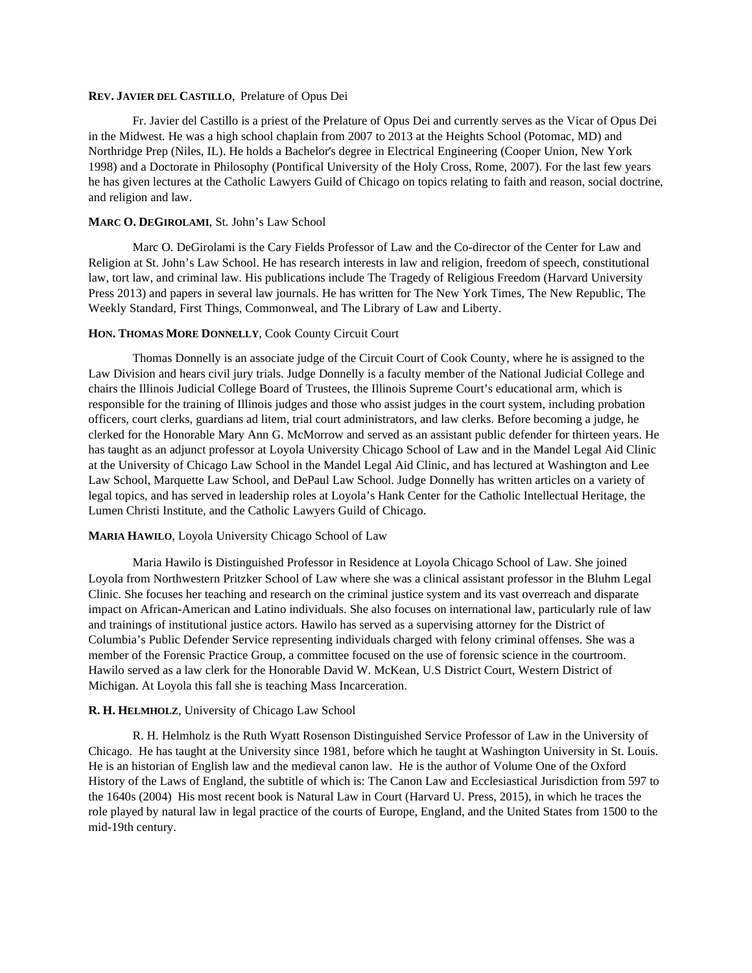#### **REV. JAVIER DEL CASTILLO**, Prelature of Opus Dei

Fr. Javier del Castillo is a priest of the Prelature of Opus Dei and currently serves as the Vicar of Opus Dei in the Midwest. He was a high school chaplain from 2007 to 2013 at the Heights School (Potomac, MD) and Northridge Prep (Niles, IL). He holds a Bachelor's degree in Electrical Engineering (Cooper Union, New York 1998) and a Doctorate in Philosophy (Pontifical University of the Holy Cross, Rome, 2007). For the last few years he has given lectures at the Catholic Lawyers Guild of Chicago on topics relating to faith and reason, social doctrine, and religion and law.

### **MARC O. DEGIROLAMI**, St. John's Law School

Marc O. DeGirolami is the Cary Fields Professor of Law and the Co-director of the Center for Law and Religion at St. John's Law School. He has research interests in law and religion, freedom of speech, constitutional law, tort law, and criminal law. His publications include The Tragedy of Religious Freedom (Harvard University Press 2013) and papers in several law journals. He has written for The New York Times, The New Republic, The Weekly Standard, First Things, Commonweal, and The Library of Law and Liberty.

#### **HON. THOMAS MORE DONNELLY**, Cook County Circuit Court

Thomas Donnelly is an associate judge of the Circuit Court of Cook County, where he is assigned to the Law Division and hears civil jury trials. Judge Donnelly is a faculty member of the National Judicial College and chairs the Illinois Judicial College Board of Trustees, the Illinois Supreme Court's educational arm, which is responsible for the training of Illinois judges and those who assist judges in the court system, including probation officers, court clerks, guardians ad litem, trial court administrators, and law clerks. Before becoming a judge, he clerked for the Honorable Mary Ann G. McMorrow and served as an assistant public defender for thirteen years. He has taught as an adjunct professor at Loyola University Chicago School of Law and in the Mandel Legal Aid Clinic at the University of Chicago Law School in the Mandel Legal Aid Clinic, and has lectured at Washington and Lee Law School, Marquette Law School, and DePaul Law School. Judge Donnelly has written articles on a variety of legal topics, and has served in leadership roles at Loyola's Hank Center for the Catholic Intellectual Heritage, the Lumen Christi Institute, and the Catholic Lawyers Guild of Chicago.

# **MARIA HAWILO**, Loyola University Chicago School of Law

Maria Hawilo is Distinguished Professor in Residence at Loyola Chicago School of Law. She joined Loyola from Northwestern Pritzker School of Law where she was a clinical assistant professor in the Bluhm Legal Clinic. She focuses her teaching and research on the criminal justice system and its vast overreach and disparate impact on African-American and Latino individuals. She also focuses on international law, particularly rule of law and trainings of institutional justice actors. Hawilo has served as a supervising attorney for the District of Columbia's Public Defender Service representing individuals charged with felony criminal offenses. She was a member of the Forensic Practice Group, a committee focused on the use of forensic science in the courtroom. Hawilo served as a law clerk for the Honorable David W. McKean, U.S District Court, Western District of Michigan. At Loyola this fall she is teaching Mass Incarceration.

### **R. H. HELMHOLZ**, University of Chicago Law School

R. H. Helmholz is the Ruth Wyatt Rosenson Distinguished Service Professor of Law in the University of Chicago. He has taught at the University since 1981, before which he taught at Washington University in St. Louis. He is an historian of English law and the medieval canon law. He is the author of Volume One of the Oxford History of the Laws of England, the subtitle of which is: The Canon Law and Ecclesiastical Jurisdiction from 597 to the 1640s (2004) His most recent book is Natural Law in Court (Harvard U. Press, 2015), in which he traces the role played by natural law in legal practice of the courts of Europe, England, and the United States from 1500 to the mid-19th century.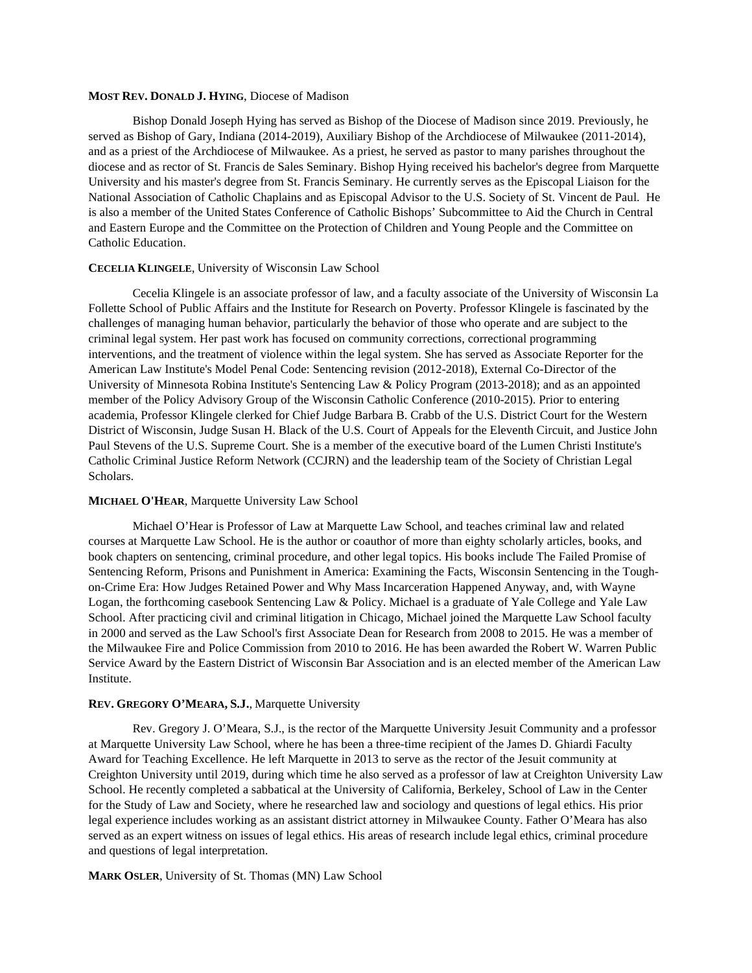### **MOST REV. DONALD J. HYING**, Diocese of Madison

Bishop Donald Joseph Hying has served as Bishop of the Diocese of Madison since 2019. Previously, he served as Bishop of Gary, Indiana (2014-2019), Auxiliary Bishop of the Archdiocese of Milwaukee (2011-2014), and as a priest of the Archdiocese of Milwaukee. As a priest, he served as pastor to many parishes throughout the diocese and as rector of St. Francis de Sales Seminary. Bishop Hying received his bachelor's degree from Marquette University and his master's degree from St. Francis Seminary. He currently serves as the Episcopal Liaison for the National Association of Catholic Chaplains and as Episcopal Advisor to the U.S. Society of St. Vincent de Paul. He is also a member of the United States Conference of Catholic Bishops' Subcommittee to Aid the Church in Central and Eastern Europe and the Committee on the Protection of Children and Young People and the Committee on Catholic Education.

#### **CECELIA KLINGELE**, University of Wisconsin Law School

Cecelia Klingele is an associate professor of law, and a faculty associate of the University of Wisconsin La Follette School of Public Affairs and the Institute for Research on Poverty. Professor Klingele is fascinated by the challenges of managing human behavior, particularly the behavior of those who operate and are subject to the criminal legal system. Her past work has focused on community corrections, correctional programming interventions, and the treatment of violence within the legal system. She has served as Associate Reporter for the American Law Institute's Model Penal Code: Sentencing revision (2012-2018), External Co-Director of the University of Minnesota Robina Institute's Sentencing Law & Policy Program (2013-2018); and as an appointed member of the Policy Advisory Group of the Wisconsin Catholic Conference (2010-2015). Prior to entering academia, Professor Klingele clerked for Chief Judge Barbara B. Crabb of the U.S. District Court for the Western District of Wisconsin, Judge Susan H. Black of the U.S. Court of Appeals for the Eleventh Circuit, and Justice John Paul Stevens of the U.S. Supreme Court. She is a member of the executive board of the Lumen Christi Institute's Catholic Criminal Justice Reform Network (CCJRN) and the leadership team of the Society of Christian Legal Scholars.

# **MICHAEL O'HEAR**, Marquette University Law School

Michael O'Hear is Professor of Law at Marquette Law School, and teaches criminal law and related courses at Marquette Law School. He is the author or coauthor of more than eighty scholarly articles, books, and book chapters on sentencing, criminal procedure, and other legal topics. His books include The Failed Promise of Sentencing Reform, Prisons and Punishment in America: Examining the Facts, Wisconsin Sentencing in the Toughon-Crime Era: How Judges Retained Power and Why Mass Incarceration Happened Anyway, and, with Wayne Logan, the forthcoming casebook Sentencing Law & Policy. Michael is a graduate of Yale College and Yale Law School. After practicing civil and criminal litigation in Chicago, Michael joined the Marquette Law School faculty in 2000 and served as the Law School's first Associate Dean for Research from 2008 to 2015. He was a member of the Milwaukee Fire and Police Commission from 2010 to 2016. He has been awarded the Robert W. Warren Public Service Award by the Eastern District of Wisconsin Bar Association and is an elected member of the American Law Institute.

#### **REV. GREGORY O'MEARA, S.J.**, Marquette University

Rev. Gregory J. O'Meara, S.J., is the rector of the Marquette University Jesuit Community and a professor at Marquette University Law School, where he has been a three-time recipient of the James D. Ghiardi Faculty Award for Teaching Excellence. He left Marquette in 2013 to serve as the rector of the Jesuit community at Creighton University until 2019, during which time he also served as a professor of law at Creighton University Law School. He recently completed a sabbatical at the University of California, Berkeley, School of Law in the Center for the Study of Law and Society, where he researched law and sociology and questions of legal ethics. His prior legal experience includes working as an assistant district attorney in Milwaukee County. Father O'Meara has also served as an expert witness on issues of legal ethics. His areas of research include legal ethics, criminal procedure and questions of legal interpretation.

**MARK OSLER**, University of St. Thomas (MN) Law School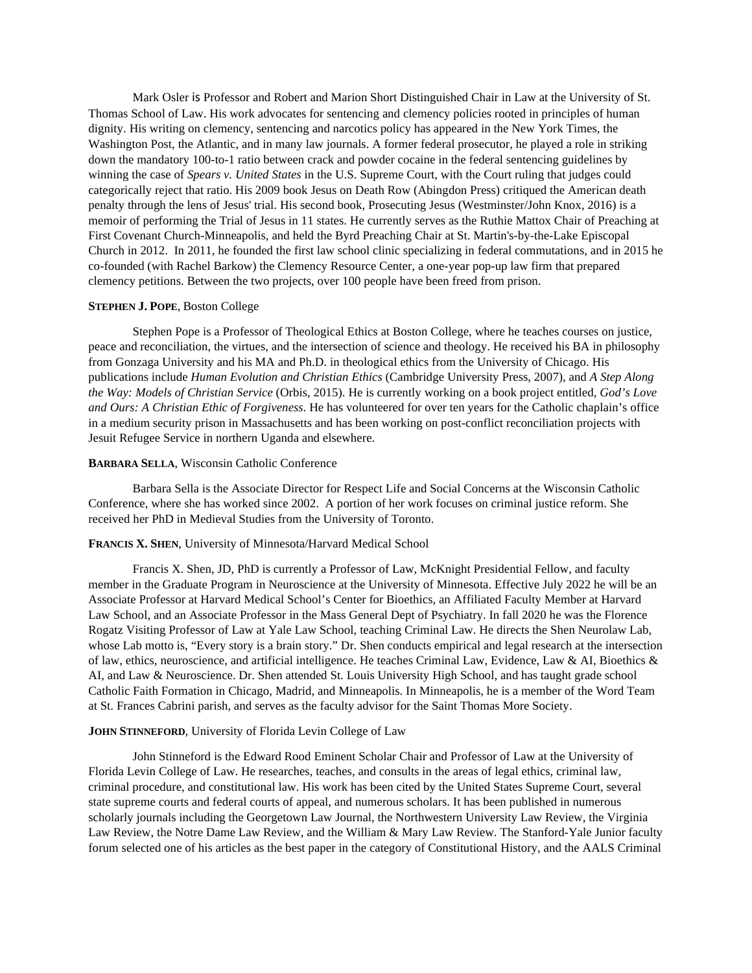Mark Osler is Professor and Robert and Marion Short Distinguished Chair in Law at the University of St. Thomas School of Law. His work advocates for sentencing and clemency policies rooted in principles of human dignity. His writing on clemency, sentencing and narcotics policy has appeared in the New York Times, the Washington Post, the Atlantic, and in many law journals. A former federal prosecutor, he played a role in striking down the mandatory 100-to-1 ratio between crack and powder cocaine in the federal sentencing guidelines by winning the case of *Spears v. United States* in the U.S. Supreme Court, with the Court ruling that judges could categorically reject that ratio. His 2009 book Jesus on Death Row (Abingdon Press) critiqued the American death penalty through the lens of Jesus' trial. His second book, Prosecuting Jesus (Westminster/John Knox, 2016) is a memoir of performing the Trial of Jesus in 11 states. He currently serves as the Ruthie Mattox Chair of Preaching at First Covenant Church-Minneapolis, and held the Byrd Preaching Chair at St. Martin's-by-the-Lake Episcopal Church in 2012. In 2011, he founded the first law school clinic specializing in federal commutations, and in 2015 he co-founded (with Rachel Barkow) the Clemency Resource Center, a one-year pop-up law firm that prepared clemency petitions. Between the two projects, over 100 people have been freed from prison.

#### **STEPHEN J. POPE**, Boston College

Stephen Pope is a Professor of Theological Ethics at Boston College, where he teaches courses on justice, peace and reconciliation, the virtues, and the intersection of science and theology. He received his BA in philosophy from Gonzaga University and his MA and Ph.D. in theological ethics from the University of Chicago. His publications include *Human Evolution and Christian Ethics* (Cambridge University Press, 2007), and *A Step Along the Way: Models of Christian Service* (Orbis, 2015). He is currently working on a book project entitled, *God's Love and Ours: A Christian Ethic of Forgiveness*. He has volunteered for over ten years for the Catholic chaplain's office in a medium security prison in Massachusetts and has been working on post-conflict reconciliation projects with Jesuit Refugee Service in northern Uganda and elsewhere.

#### **BARBARA SELLA**, Wisconsin Catholic Conference

Barbara Sella is the Associate Director for Respect Life and Social Concerns at the Wisconsin Catholic Conference, where she has worked since 2002. A portion of her work focuses on criminal justice reform. She received her PhD in Medieval Studies from the University of Toronto.

#### **FRANCIS X. SHEN**, University of Minnesota/Harvard Medical School

Francis X. Shen, JD, PhD is currently a Professor of Law, McKnight Presidential Fellow, and faculty member in the Graduate Program in Neuroscience at the University of Minnesota. Effective July 2022 he will be an Associate Professor at Harvard Medical School's Center for Bioethics, an Affiliated Faculty Member at Harvard Law School, and an Associate Professor in the Mass General Dept of Psychiatry. In fall 2020 he was the Florence Rogatz Visiting Professor of Law at Yale Law School, teaching Criminal Law. He directs the Shen Neurolaw Lab, whose Lab motto is, "Every story is a brain story." Dr. Shen conducts empirical and legal research at the intersection of law, ethics, neuroscience, and artificial intelligence. He teaches Criminal Law, Evidence, Law & AI, Bioethics & AI, and Law & Neuroscience. Dr. Shen attended St. Louis University High School, and has taught grade school Catholic Faith Formation in Chicago, Madrid, and Minneapolis. In Minneapolis, he is a member of the Word Team at St. Frances Cabrini parish, and serves as the faculty advisor for the Saint Thomas More Society.

# **JOHN STINNEFORD**, University of Florida Levin College of Law

John Stinneford is the Edward Rood Eminent Scholar Chair and Professor of Law at the University of Florida Levin College of Law. He researches, teaches, and consults in the areas of legal ethics, criminal law, criminal procedure, and constitutional law. His work has been cited by the United States Supreme Court, several state supreme courts and federal courts of appeal, and numerous scholars. It has been published in numerous scholarly journals including the Georgetown Law Journal, the Northwestern University Law Review, the Virginia Law Review, the Notre Dame Law Review, and the William & Mary Law Review. The Stanford-Yale Junior faculty forum selected one of his articles as the best paper in the category of Constitutional History, and the AALS Criminal